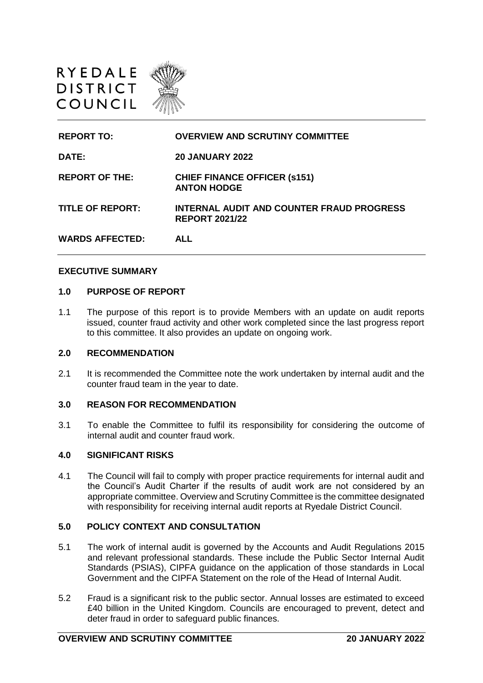

| <b>REPORT TO:</b>       | <b>OVERVIEW AND SCRUTINY COMMITTEE</b>                             |
|-------------------------|--------------------------------------------------------------------|
| DATE:                   | <b>20 JANUARY 2022</b>                                             |
| <b>REPORT OF THE:</b>   | <b>CHIEF FINANCE OFFICER (s151)</b><br><b>ANTON HODGE</b>          |
| <b>TITLE OF REPORT:</b> | INTERNAL AUDIT AND COUNTER FRAUD PROGRESS<br><b>REPORT 2021/22</b> |
| <b>WARDS AFFECTED:</b>  | AI I                                                               |

#### **EXECUTIVE SUMMARY**

#### **1.0 PURPOSE OF REPORT**

1.1 The purpose of this report is to provide Members with an update on audit reports issued, counter fraud activity and other work completed since the last progress report to this committee. It also provides an update on ongoing work.

## **2.0 RECOMMENDATION**

2.1 It is recommended the Committee note the work undertaken by internal audit and the counter fraud team in the year to date.

### **3.0 REASON FOR RECOMMENDATION**

3.1 To enable the Committee to fulfil its responsibility for considering the outcome of internal audit and counter fraud work.

#### **4.0 SIGNIFICANT RISKS**

4.1 The Council will fail to comply with proper practice requirements for internal audit and the Council's Audit Charter if the results of audit work are not considered by an appropriate committee. Overview and Scrutiny Committee is the committee designated with responsibility for receiving internal audit reports at Ryedale District Council.

#### **5.0 POLICY CONTEXT AND CONSULTATION**

- 5.1 The work of internal audit is governed by the Accounts and Audit Regulations 2015 and relevant professional standards. These include the Public Sector Internal Audit Standards (PSIAS), CIPFA guidance on the application of those standards in Local Government and the CIPFA Statement on the role of the Head of Internal Audit.
- 5.2 Fraud is a significant risk to the public sector. Annual losses are estimated to exceed £40 billion in the United Kingdom. Councils are encouraged to prevent, detect and deter fraud in order to safeguard public finances.